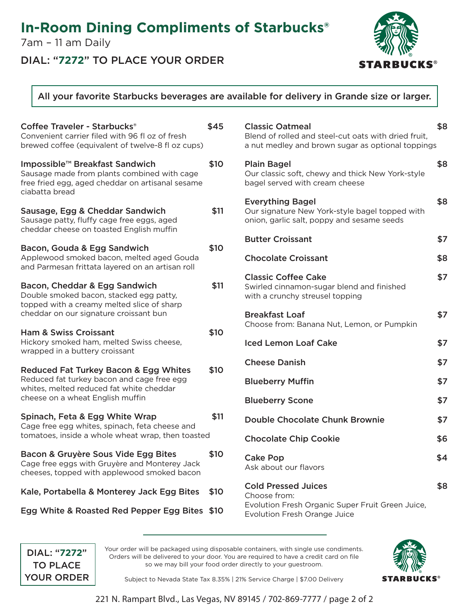## **In-Room Dining Compliments of Starbucks®**

7am – 11 am Daily

### DIAL: "**7272**" TO PLACE YOUR ORDER



### All your favorite Starbucks beverages are available for delivery in Grande size or larger.

| Coffee Traveler - Starbucks <sup>®</sup><br>Convenient carrier filed with 96 fl oz of fresh<br>brewed coffee (equivalent of twelve-8 fl oz cups)                               | \$45 |
|--------------------------------------------------------------------------------------------------------------------------------------------------------------------------------|------|
| Impossible™ Breakfast Sandwich<br>Sausage made from plants combined with cage<br>free fried egg, aged cheddar on artisanal sesame<br>ciabatta bread                            | \$10 |
| Sausage, Egg & Cheddar Sandwich<br>Sausage patty, fluffy cage free eggs, aged<br>cheddar cheese on toasted English muffin                                                      | \$11 |
| Bacon, Gouda & Egg Sandwich<br>Applewood smoked bacon, melted aged Gouda<br>and Parmesan frittata layered on an artisan roll                                                   | \$10 |
| Bacon, Cheddar & Egg Sandwich<br>Double smoked bacon, stacked egg patty,<br>topped with a creamy melted slice of sharp<br>cheddar on our signature croissant bun               | \$11 |
| Ham & Swiss Croissant<br>Hickory smoked ham, melted Swiss cheese,<br>wrapped in a buttery croissant                                                                            | \$10 |
| <b>Reduced Fat Turkey Bacon &amp; Egg Whites</b><br>Reduced fat turkey bacon and cage free egg<br>whites, melted reduced fat white cheddar<br>cheese on a wheat English muffin | \$10 |
| Spinach, Feta & Egg White Wrap<br>Cage free egg whites, spinach, feta cheese and<br>tomatoes, inside a whole wheat wrap, then toasted                                          | \$11 |
| Bacon & Gruyère Sous Vide Egg Bites<br>Cage free eggs with Gruyère and Monterey Jack<br>cheeses, topped with applewood smoked bacon                                            | \$10 |
| Kale, Portabella & Monterey Jack Egg Bites                                                                                                                                     | \$10 |
| Egg White & Roasted Red Pepper Egg Bites                                                                                                                                       | \$10 |

| <b>Classic Oatmeal</b><br>Blend of rolled and steel-cut oats with dried fruit,<br>a nut medley and brown sugar as optional toppings   | \$8 |
|---------------------------------------------------------------------------------------------------------------------------------------|-----|
| <b>Plain Bagel</b><br>Our classic soft, chewy and thick New York-style<br>bagel served with cream cheese                              | \$8 |
| <b>Everything Bagel</b><br>Our signature New York-style bagel topped with<br>onion, garlic salt, poppy and sesame seeds               | \$8 |
| <b>Butter Croissant</b>                                                                                                               | \$7 |
| <b>Chocolate Croissant</b>                                                                                                            | \$8 |
| <b>Classic Coffee Cake</b><br>Swirled cinnamon-sugar blend and finished<br>with a crunchy streusel topping                            | \$7 |
| <b>Breakfast Loaf</b><br>Choose from: Banana Nut, Lemon, or Pumpkin                                                                   | \$7 |
| <b>Iced Lemon Loaf Cake</b>                                                                                                           | \$7 |
| <b>Cheese Danish</b>                                                                                                                  | \$7 |
| <b>Blueberry Muffin</b>                                                                                                               | \$7 |
| <b>Blueberry Scone</b>                                                                                                                | \$7 |
| <b>Double Chocolate Chunk Brownie</b>                                                                                                 | \$7 |
| <b>Chocolate Chip Cookie</b>                                                                                                          | \$6 |
| <b>Cake Pop</b><br>Ask about our flavors                                                                                              | \$4 |
| <b>Cold Pressed Juices</b><br>Choose from:<br>Evolution Fresh Organic Super Fruit Green Juice,<br><b>Evolution Fresh Orange Juice</b> | \$8 |

DIAL: "**7272**" TO PLACE YOUR ORDER Your order will be packaged using disposable containers, with single use condiments. Orders will be delivered to your door. You are required to have a credit card on file so we may bill your food order directly to your guestroom.



Subject to Nevada State Tax 8.35% | 21% Service Charge | \$7.00 Delivery